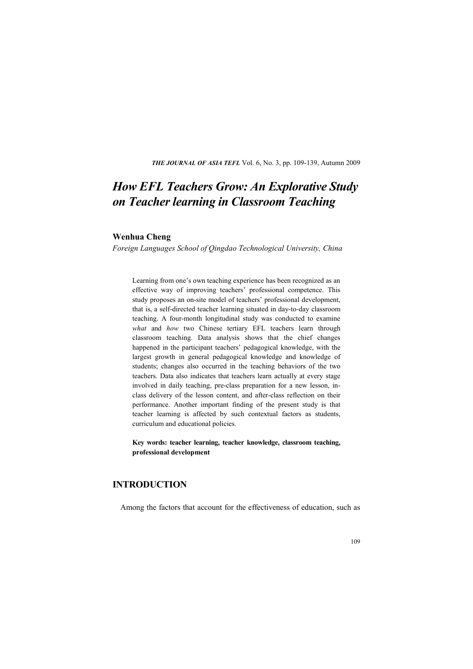**THE JOURNAL OF ASIA TEFL** Vol. 6, No. 3, pp. 109-139, Autumn 2009

# *How EFL Teachers Grow: An Explorative Study on Teacher learning in Classroom Teaching*

### **Wenhua Cheng**

*Foreign Languages School of Qingdao Technological University, China* 

Learning from one's own teaching experience has been recognized as an effective way of improving teachers' professional competence. This study proposes an on-site model of teachers' professional development, that is, a self-directed teacher learning situated in day-to-day classroom teaching. A four-month longitudinal study was conducted to examine *what* and *how* two Chinese tertiary EFL teachers learn through classroom teaching. Data analysis shows that the chief changes happened in the participant teachers' pedagogical knowledge, with the largest growth in general pedagogical knowledge and knowledge of students; changes also occurred in the teaching behaviors of the two teachers. Data also indicates that teachers learn actually at every stage involved in daily teaching, pre-class preparation for a new lesson, inclass delivery of the lesson content, and after-class reflection on their performance. Another important finding of the present study is that teacher learning is affected by such contextual factors as students, curriculum and educational policies.

**Key words: teacher learning, teacher knowledge, classroom teaching, professional development** 

# **INTRODUCTION**

Among the factors that account for the effectiveness of education, such as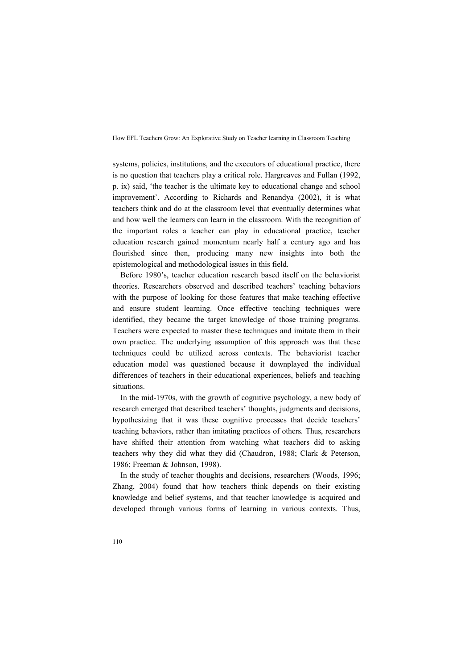systems, policies, institutions, and the executors of educational practice, there is no question that teachers play a critical role. Hargreaves and Fullan (1992, p. ix) said, 'the teacher is the ultimate key to educational change and school improvement'. According to Richards and Renandya (2002), it is what teachers think and do at the classroom level that eventually determines what and how well the learners can learn in the classroom. With the recognition of the important roles a teacher can play in educational practice, teacher education research gained momentum nearly half a century ago and has flourished since then, producing many new insights into both the epistemological and methodological issues in this field.

Before 1980's, teacher education research based itself on the behaviorist theories. Researchers observed and described teachers' teaching behaviors with the purpose of looking for those features that make teaching effective and ensure student learning. Once effective teaching techniques were identified, they became the target knowledge of those training programs. Teachers were expected to master these techniques and imitate them in their own practice. The underlying assumption of this approach was that these techniques could be utilized across contexts. The behaviorist teacher education model was questioned because it downplayed the individual differences of teachers in their educational experiences, beliefs and teaching situations.

In the mid-1970s, with the growth of cognitive psychology, a new body of research emerged that described teachers' thoughts, judgments and decisions, hypothesizing that it was these cognitive processes that decide teachers' teaching behaviors, rather than imitating practices of others. Thus, researchers have shifted their attention from watching what teachers did to asking teachers why they did what they did (Chaudron, 1988; Clark & Peterson, 1986; Freeman & Johnson, 1998).

In the study of teacher thoughts and decisions, researchers (Woods, 1996; Zhang, 2004) found that how teachers think depends on their existing knowledge and belief systems, and that teacher knowledge is acquired and developed through various forms of learning in various contexts. Thus,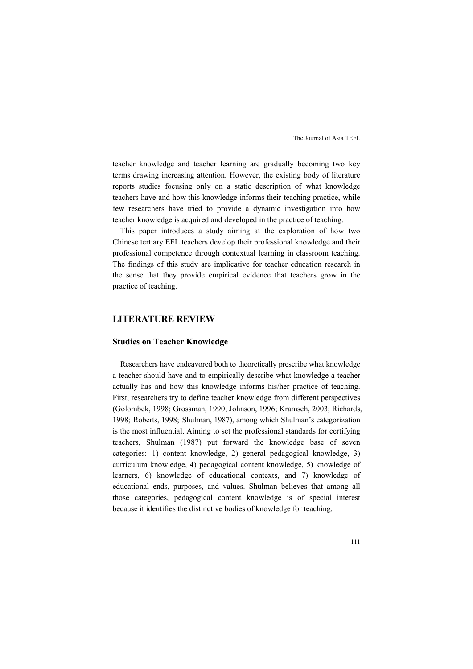teacher knowledge and teacher learning are gradually becoming two key terms drawing increasing attention. However, the existing body of literature reports studies focusing only on a static description of what knowledge teachers have and how this knowledge informs their teaching practice, while few researchers have tried to provide a dynamic investigation into how teacher knowledge is acquired and developed in the practice of teaching.

This paper introduces a study aiming at the exploration of how two Chinese tertiary EFL teachers develop their professional knowledge and their professional competence through contextual learning in classroom teaching. The findings of this study are implicative for teacher education research in the sense that they provide empirical evidence that teachers grow in the practice of teaching.

# **LITERATURE REVIEW**

#### **Studies on Teacher Knowledge**

Researchers have endeavored both to theoretically prescribe what knowledge a teacher should have and to empirically describe what knowledge a teacher actually has and how this knowledge informs his/her practice of teaching. First, researchers try to define teacher knowledge from different perspectives (Golombek, 1998; Grossman, 1990; Johnson, 1996; Kramsch, 2003; Richards, 1998; Roberts, 1998; Shulman, 1987), among which Shulman's categorization is the most influential. Aiming to set the professional standards for certifying teachers, Shulman (1987) put forward the knowledge base of seven categories: 1) content knowledge, 2) general pedagogical knowledge, 3) curriculum knowledge, 4) pedagogical content knowledge, 5) knowledge of learners, 6) knowledge of educational contexts, and 7) knowledge of educational ends, purposes, and values. Shulman believes that among all those categories, pedagogical content knowledge is of special interest because it identifies the distinctive bodies of knowledge for teaching.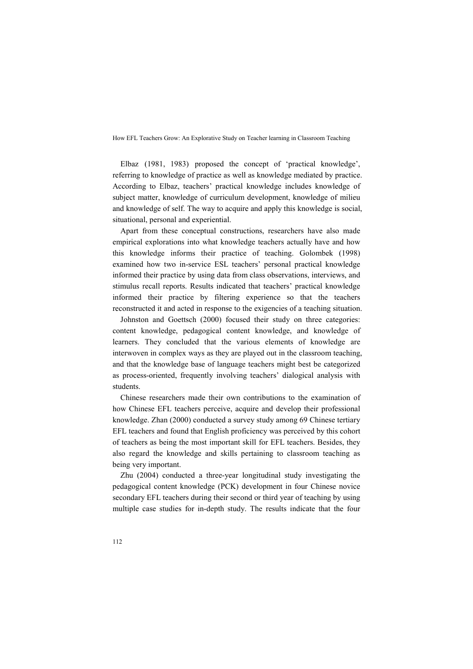Elbaz (1981, 1983) proposed the concept of 'practical knowledge', referring to knowledge of practice as well as knowledge mediated by practice. According to Elbaz, teachers' practical knowledge includes knowledge of subject matter, knowledge of curriculum development, knowledge of milieu and knowledge of self. The way to acquire and apply this knowledge is social, situational, personal and experiential.

Apart from these conceptual constructions, researchers have also made empirical explorations into what knowledge teachers actually have and how this knowledge informs their practice of teaching. Golombek (1998) examined how two in-service ESL teachers' personal practical knowledge informed their practice by using data from class observations, interviews, and stimulus recall reports. Results indicated that teachers' practical knowledge informed their practice by filtering experience so that the teachers reconstructed it and acted in response to the exigencies of a teaching situation.

Johnston and Goettsch (2000) focused their study on three categories: content knowledge, pedagogical content knowledge, and knowledge of learners. They concluded that the various elements of knowledge are interwoven in complex ways as they are played out in the classroom teaching, and that the knowledge base of language teachers might best be categorized as process-oriented, frequently involving teachers' dialogical analysis with students.

Chinese researchers made their own contributions to the examination of how Chinese EFL teachers perceive, acquire and develop their professional knowledge. Zhan (2000) conducted a survey study among 69 Chinese tertiary EFL teachers and found that English proficiency was perceived by this cohort of teachers as being the most important skill for EFL teachers. Besides, they also regard the knowledge and skills pertaining to classroom teaching as being very important.

Zhu (2004) conducted a three-year longitudinal study investigating the pedagogical content knowledge (PCK) development in four Chinese novice secondary EFL teachers during their second or third year of teaching by using multiple case studies for in-depth study. The results indicate that the four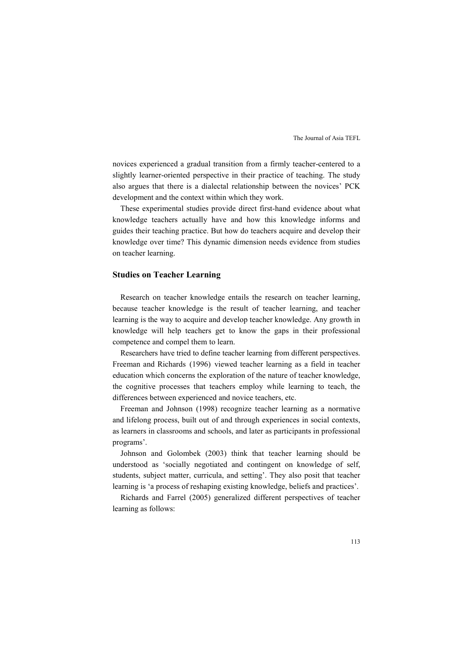novices experienced a gradual transition from a firmly teacher-centered to a slightly learner-oriented perspective in their practice of teaching. The study also argues that there is a dialectal relationship between the novices' PCK development and the context within which they work.

These experimental studies provide direct first-hand evidence about what knowledge teachers actually have and how this knowledge informs and guides their teaching practice. But how do teachers acquire and develop their knowledge over time? This dynamic dimension needs evidence from studies on teacher learning.

## **Studies on Teacher Learning**

Research on teacher knowledge entails the research on teacher learning, because teacher knowledge is the result of teacher learning, and teacher learning is the way to acquire and develop teacher knowledge. Any growth in knowledge will help teachers get to know the gaps in their professional competence and compel them to learn.

Researchers have tried to define teacher learning from different perspectives. Freeman and Richards (1996) viewed teacher learning as a field in teacher education which concerns the exploration of the nature of teacher knowledge, the cognitive processes that teachers employ while learning to teach, the differences between experienced and novice teachers, etc.

Freeman and Johnson (1998) recognize teacher learning as a normative and lifelong process, built out of and through experiences in social contexts, as learners in classrooms and schools, and later as participants in professional programs'.

Johnson and Golombek (2003) think that teacher learning should be understood as 'socially negotiated and contingent on knowledge of self, students, subject matter, curricula, and setting'. They also posit that teacher learning is 'a process of reshaping existing knowledge, beliefs and practices'.

Richards and Farrel (2005) generalized different perspectives of teacher learning as follows: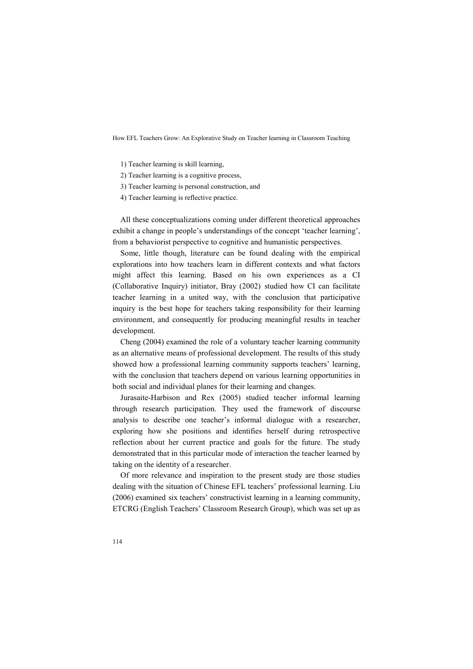- 1) Teacher learning is skill learning,
- 2) Teacher learning is a cognitive process,
- 3) Teacher learning is personal construction, and
- 4) Teacher learning is reflective practice.

All these conceptualizations coming under different theoretical approaches exhibit a change in people's understandings of the concept 'teacher learning', from a behaviorist perspective to cognitive and humanistic perspectives.

Some, little though, literature can be found dealing with the empirical explorations into how teachers learn in different contexts and what factors might affect this learning. Based on his own experiences as a CI (Collaborative Inquiry) initiator, Bray (2002) studied how CI can facilitate teacher learning in a united way, with the conclusion that participative inquiry is the best hope for teachers taking responsibility for their learning environment, and consequently for producing meaningful results in teacher development.

Cheng (2004) examined the role of a voluntary teacher learning community as an alternative means of professional development. The results of this study showed how a professional learning community supports teachers' learning, with the conclusion that teachers depend on various learning opportunities in both social and individual planes for their learning and changes.

Jurasaite-Harbison and Rex (2005) studied teacher informal learning through research participation. They used the framework of discourse analysis to describe one teacher's informal dialogue with a researcher, exploring how she positions and identifies herself during retrospective reflection about her current practice and goals for the future. The study demonstrated that in this particular mode of interaction the teacher learned by taking on the identity of a researcher.

Of more relevance and inspiration to the present study are those studies dealing with the situation of Chinese EFL teachers' professional learning. Liu (2006) examined six teachers' constructivist learning in a learning community, ETCRG (English Teachers' Classroom Research Group), which was set up as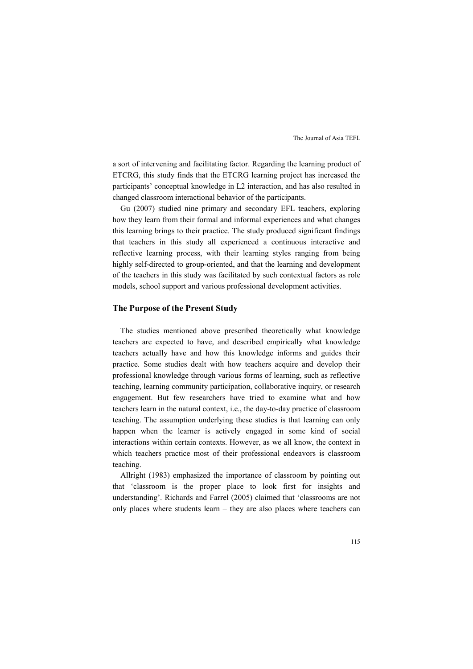a sort of intervening and facilitating factor. Regarding the learning product of ETCRG, this study finds that the ETCRG learning project has increased the participants' conceptual knowledge in L2 interaction, and has also resulted in changed classroom interactional behavior of the participants.

Gu (2007) studied nine primary and secondary EFL teachers, exploring how they learn from their formal and informal experiences and what changes this learning brings to their practice. The study produced significant findings that teachers in this study all experienced a continuous interactive and reflective learning process, with their learning styles ranging from being highly self-directed to group-oriented, and that the learning and development of the teachers in this study was facilitated by such contextual factors as role models, school support and various professional development activities.

### **The Purpose of the Present Study**

The studies mentioned above prescribed theoretically what knowledge teachers are expected to have, and described empirically what knowledge teachers actually have and how this knowledge informs and guides their practice. Some studies dealt with how teachers acquire and develop their professional knowledge through various forms of learning, such as reflective teaching, learning community participation, collaborative inquiry, or research engagement. But few researchers have tried to examine what and how teachers learn in the natural context, i.e., the day-to-day practice of classroom teaching. The assumption underlying these studies is that learning can only happen when the learner is actively engaged in some kind of social interactions within certain contexts. However, as we all know, the context in which teachers practice most of their professional endeavors is classroom teaching.

Allright (1983) emphasized the importance of classroom by pointing out that 'classroom is the proper place to look first for insights and understanding'. Richards and Farrel (2005) claimed that 'classrooms are not only places where students learn – they are also places where teachers can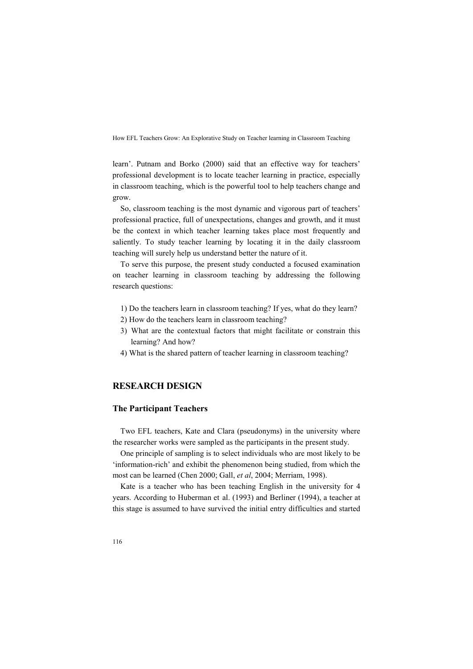learn'. Putnam and Borko (2000) said that an effective way for teachers' professional development is to locate teacher learning in practice, especially in classroom teaching, which is the powerful tool to help teachers change and grow.

So, classroom teaching is the most dynamic and vigorous part of teachers' professional practice, full of unexpectations, changes and growth, and it must be the context in which teacher learning takes place most frequently and saliently. To study teacher learning by locating it in the daily classroom teaching will surely help us understand better the nature of it.

To serve this purpose, the present study conducted a focused examination on teacher learning in classroom teaching by addressing the following research questions:

- 1) Do the teachers learn in classroom teaching? If yes, what do they learn?
- 2) How do the teachers learn in classroom teaching?
- 3) What are the contextual factors that might facilitate or constrain this learning? And how?
- 4) What is the shared pattern of teacher learning in classroom teaching?

# **RESEARCH DESIGN**

## **The Participant Teachers**

Two EFL teachers, Kate and Clara (pseudonyms) in the university where the researcher works were sampled as the participants in the present study.

One principle of sampling is to select individuals who are most likely to be 'information-rich' and exhibit the phenomenon being studied, from which the most can be learned (Chen 2000; Gall, *et al*, 2004; Merriam, 1998).

Kate is a teacher who has been teaching English in the university for 4 years. According to Huberman et al. (1993) and Berliner (1994), a teacher at this stage is assumed to have survived the initial entry difficulties and started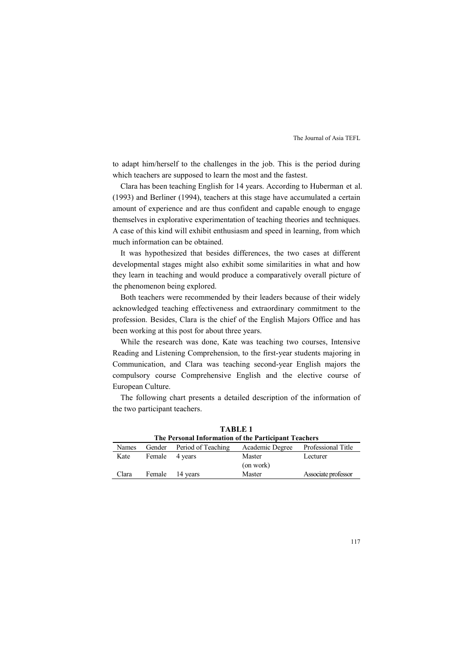to adapt him/herself to the challenges in the job. This is the period during which teachers are supposed to learn the most and the fastest.

Clara has been teaching English for 14 years. According to Huberman et al. (1993) and Berliner (1994), teachers at this stage have accumulated a certain amount of experience and are thus confident and capable enough to engage themselves in explorative experimentation of teaching theories and techniques. A case of this kind will exhibit enthusiasm and speed in learning, from which much information can be obtained.

It was hypothesized that besides differences, the two cases at different developmental stages might also exhibit some similarities in what and how they learn in teaching and would produce a comparatively overall picture of the phenomenon being explored.

Both teachers were recommended by their leaders because of their widely acknowledged teaching effectiveness and extraordinary commitment to the profession. Besides, Clara is the chief of the English Majors Office and has been working at this post for about three years.

While the research was done, Kate was teaching two courses, Intensive Reading and Listening Comprehension, to the first-year students majoring in Communication, and Clara was teaching second-year English majors the compulsory course Comprehensive English and the elective course of European Culture.

The following chart presents a detailed description of the information of the two participant teachers.

| The Personal Information of the Participant Teachers |                |                           |                 |                     |  |  |  |
|------------------------------------------------------|----------------|---------------------------|-----------------|---------------------|--|--|--|
| <b>Names</b>                                         |                | Gender Period of Teaching | Academic Degree | Professional Title  |  |  |  |
| Kate                                                 | Female 4 years |                           | Master          | Lecturer            |  |  |  |
|                                                      |                |                           | (on work)       |                     |  |  |  |
| Clara                                                |                | Female 14 years           | Master          | Associate professor |  |  |  |

**TABLE 1**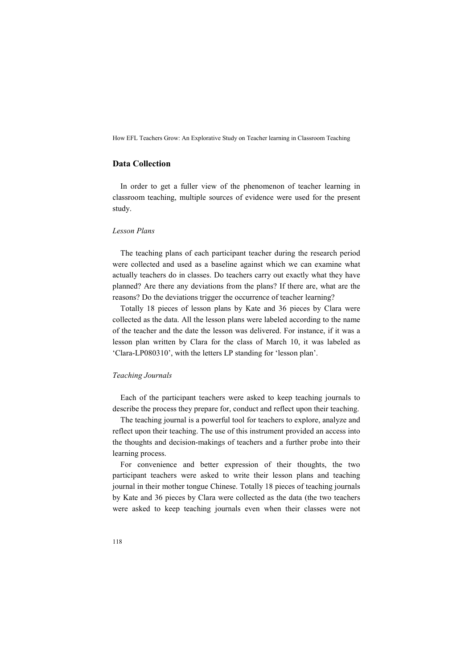# **Data Collection**

In order to get a fuller view of the phenomenon of teacher learning in classroom teaching, multiple sources of evidence were used for the present study.

### *Lesson Plans*

The teaching plans of each participant teacher during the research period were collected and used as a baseline against which we can examine what actually teachers do in classes. Do teachers carry out exactly what they have planned? Are there any deviations from the plans? If there are, what are the reasons? Do the deviations trigger the occurrence of teacher learning?

Totally 18 pieces of lesson plans by Kate and 36 pieces by Clara were collected as the data. All the lesson plans were labeled according to the name of the teacher and the date the lesson was delivered. For instance, if it was a lesson plan written by Clara for the class of March 10, it was labeled as 'Clara-LP080310', with the letters LP standing for 'lesson plan'.

#### *Teaching Journals*

Each of the participant teachers were asked to keep teaching journals to describe the process they prepare for, conduct and reflect upon their teaching.

The teaching journal is a powerful tool for teachers to explore, analyze and reflect upon their teaching. The use of this instrument provided an access into the thoughts and decision-makings of teachers and a further probe into their learning process.

For convenience and better expression of their thoughts, the two participant teachers were asked to write their lesson plans and teaching journal in their mother tongue Chinese. Totally 18 pieces of teaching journals by Kate and 36 pieces by Clara were collected as the data (the two teachers were asked to keep teaching journals even when their classes were not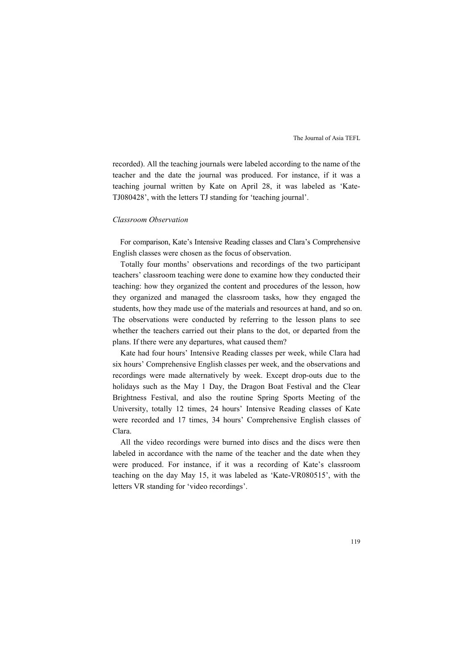recorded). All the teaching journals were labeled according to the name of the teacher and the date the journal was produced. For instance, if it was a teaching journal written by Kate on April 28, it was labeled as 'Kate-TJ080428', with the letters TJ standing for 'teaching journal'.

#### *Classroom Observation*

For comparison, Kate's Intensive Reading classes and Clara's Comprehensive English classes were chosen as the focus of observation.

Totally four months' observations and recordings of the two participant teachers' classroom teaching were done to examine how they conducted their teaching: how they organized the content and procedures of the lesson, how they organized and managed the classroom tasks, how they engaged the students, how they made use of the materials and resources at hand, and so on. The observations were conducted by referring to the lesson plans to see whether the teachers carried out their plans to the dot, or departed from the plans. If there were any departures, what caused them?

Kate had four hours' Intensive Reading classes per week, while Clara had six hours' Comprehensive English classes per week, and the observations and recordings were made alternatively by week. Except drop-outs due to the holidays such as the May 1 Day, the Dragon Boat Festival and the Clear Brightness Festival, and also the routine Spring Sports Meeting of the University, totally 12 times, 24 hours' Intensive Reading classes of Kate were recorded and 17 times, 34 hours' Comprehensive English classes of Clara.

All the video recordings were burned into discs and the discs were then labeled in accordance with the name of the teacher and the date when they were produced. For instance, if it was a recording of Kate's classroom teaching on the day May 15, it was labeled as 'Kate-VR080515', with the letters VR standing for 'video recordings'.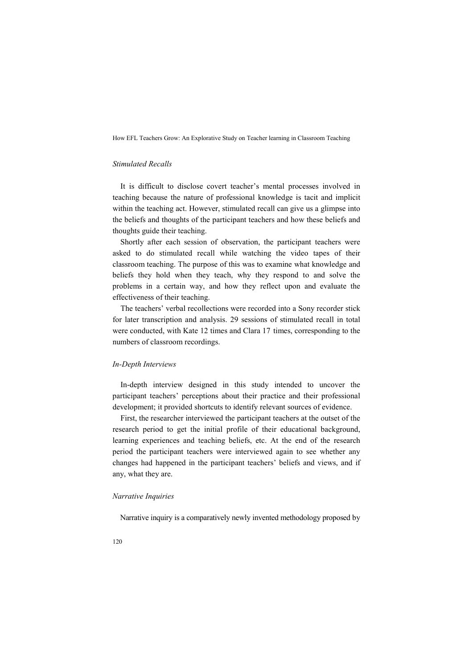### *Stimulated Recalls*

It is difficult to disclose covert teacher's mental processes involved in teaching because the nature of professional knowledge is tacit and implicit within the teaching act. However, stimulated recall can give us a glimpse into the beliefs and thoughts of the participant teachers and how these beliefs and thoughts guide their teaching.

Shortly after each session of observation, the participant teachers were asked to do stimulated recall while watching the video tapes of their classroom teaching. The purpose of this was to examine what knowledge and beliefs they hold when they teach, why they respond to and solve the problems in a certain way, and how they reflect upon and evaluate the effectiveness of their teaching.

The teachers' verbal recollections were recorded into a Sony recorder stick for later transcription and analysis. 29 sessions of stimulated recall in total were conducted, with Kate 12 times and Clara 17 times, corresponding to the numbers of classroom recordings.

#### *In-Depth Interviews*

In-depth interview designed in this study intended to uncover the participant teachers' perceptions about their practice and their professional development; it provided shortcuts to identify relevant sources of evidence.

First, the researcher interviewed the participant teachers at the outset of the research period to get the initial profile of their educational background, learning experiences and teaching beliefs, etc. At the end of the research period the participant teachers were interviewed again to see whether any changes had happened in the participant teachers' beliefs and views, and if any, what they are.

#### *&arrative Inquiries*

Narrative inquiry is a comparatively newly invented methodology proposed by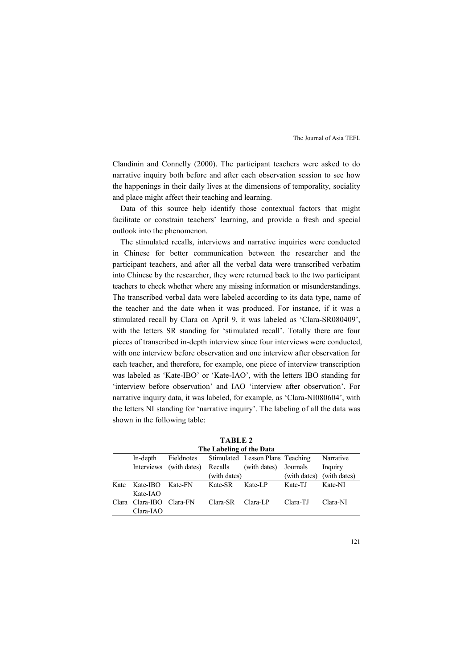Clandinin and Connelly (2000). The participant teachers were asked to do narrative inquiry both before and after each observation session to see how the happenings in their daily lives at the dimensions of temporality, sociality and place might affect their teaching and learning.

Data of this source help identify those contextual factors that might facilitate or constrain teachers' learning, and provide a fresh and special outlook into the phenomenon.

The stimulated recalls, interviews and narrative inquiries were conducted in Chinese for better communication between the researcher and the participant teachers, and after all the verbal data were transcribed verbatim into Chinese by the researcher, they were returned back to the two participant teachers to check whether where any missing information or misunderstandings. The transcribed verbal data were labeled according to its data type, name of the teacher and the date when it was produced. For instance, if it was a stimulated recall by Clara on April 9, it was labeled as 'Clara-SR080409', with the letters SR standing for 'stimulated recall'. Totally there are four pieces of transcribed in-depth interview since four interviews were conducted, with one interview before observation and one interview after observation for each teacher, and therefore, for example, one piece of interview transcription was labeled as 'Kate-IBO' or 'Kate-IAO', with the letters IBO standing for 'interview before observation' and IAO 'interview after observation'. For narrative inquiry data, it was labeled, for example, as 'Clara-NI080604', with the letters NI standing for 'narrative inquiry'. The labeling of all the data was shown in the following table:

**TABLE 2 The Labeling of the Data** 

| THE LADENHE OF the Data |                          |                                 |              |                                             |              |              |  |  |
|-------------------------|--------------------------|---------------------------------|--------------|---------------------------------------------|--------------|--------------|--|--|
|                         | In-depth                 |                                 |              | Fieldnotes Stimulated Lesson Plans Teaching |              | Narrative    |  |  |
|                         |                          | Interviews (with dates) Recalls |              | (with dates) Journals                       |              | Inquiry      |  |  |
|                         |                          |                                 | (with dates) |                                             | (with dates) | (with dates) |  |  |
| Kate                    | Kate-IBO                 | Kate-FN                         | Kate-SR      | Kate-LP                                     | Kate-TJ      | Kate-NI      |  |  |
|                         | $Kate-IAO$               |                                 |              |                                             |              |              |  |  |
|                         | Clara Clara-IBO Clara-FN |                                 | Clara-SR     | Clara-LP                                    | Clara-TJ     | Clara-NI     |  |  |
|                         | Clara-IAO                |                                 |              |                                             |              |              |  |  |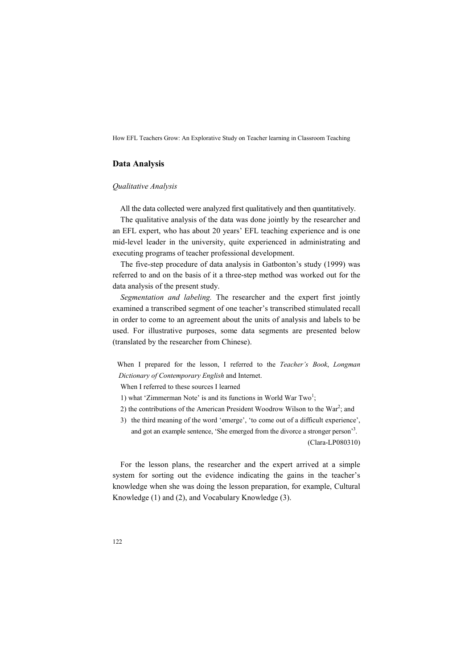## **Data Analysis**

### *Qualitative Analysis*

All the data collected were analyzed first qualitatively and then quantitatively.

The qualitative analysis of the data was done jointly by the researcher and an EFL expert, who has about 20 years' EFL teaching experience and is one mid-level leader in the university, quite experienced in administrating and executing programs of teacher professional development.

The five-step procedure of data analysis in Gatbonton's study (1999) was referred to and on the basis of it a three-step method was worked out for the data analysis of the present study.

*Segmentation and labeling.* The researcher and the expert first jointly examined a transcribed segment of one teacher's transcribed stimulated recall in order to come to an agreement about the units of analysis and labels to be used. For illustrative purposes, some data segments are presented below (translated by the researcher from Chinese).

When I prepared for the lesson, I referred to the *Teacher's Book*, *Longman Dictionary of Contemporary English* and Internet.

When I referred to these sources I learned

- 1) what 'Zimmerman Note' is and its functions in World War Two<sup>1</sup>;
- 2) the contributions of the American President Woodrow Wilson to the  $\text{War}^2$ ; and
- 3) the third meaning of the word 'emerge', 'to come out of a difficult experience', and got an example sentence, 'She emerged from the divorce a stronger person'<sup>3</sup>. (Clara-LP080310)

For the lesson plans, the researcher and the expert arrived at a simple system for sorting out the evidence indicating the gains in the teacher's knowledge when she was doing the lesson preparation, for example, Cultural Knowledge (1) and (2), and Vocabulary Knowledge (3).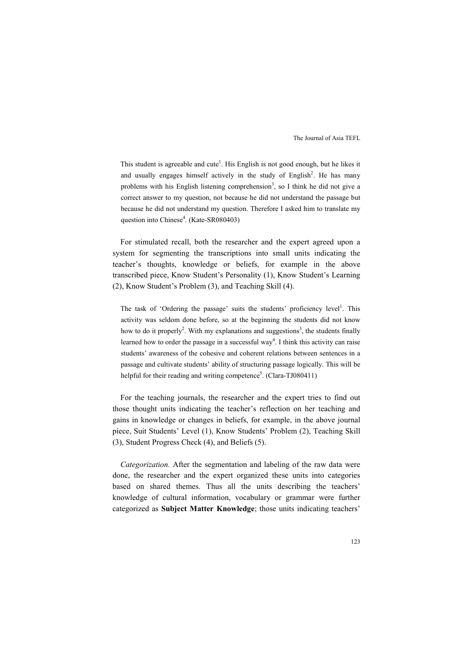This student is agreeable and cute<sup>1</sup>. His English is not good enough, but he likes it and usually engages himself actively in the study of English<sup>2</sup>. He has many problems with his English listening comprehension<sup>3</sup>, so I think he did not give a correct answer to my question, not because he did not understand the passage but because he did not understand my question. Therefore I asked him to translate my question into Chinese<sup>4</sup>. (Kate-SR080403)

For stimulated recall, both the researcher and the expert agreed upon a system for segmenting the transcriptions into small units indicating the teacher's thoughts, knowledge or beliefs, for example in the above transcribed piece, Know Student's Personality (1), Know Student's Learning (2), Know Student's Problem (3), and Teaching Skill (4).

The task of 'Ordering the passage' suits the students' proficiency level<sup>1</sup>. This activity was seldom done before, so at the beginning the students did not know how to do it properly<sup>2</sup>. With my explanations and suggestions<sup>3</sup>, the students finally learned how to order the passage in a successful way<sup>4</sup>. I think this activity can raise students' awareness of the cohesive and coherent relations between sentences in a passage and cultivate students' ability of structuring passage logically. This will be helpful for their reading and writing competence<sup>5</sup>. (Clara-TJ080411)

For the teaching journals, the researcher and the expert tries to find out those thought units indicating the teacher's reflection on her teaching and gains in knowledge or changes in beliefs, for example, in the above journal piece, Suit Students' Level (1), Know Students' Problem (2), Teaching Skill (3), Student Progress Check (4), and Beliefs (5).

*Categorization.* After the segmentation and labeling of the raw data were done, the researcher and the expert organized these units into categories based on shared themes. Thus all the units describing the teachers' knowledge of cultural information, vocabulary or grammar were further categorized as **Subject Matter Knowledge**; those units indicating teachers'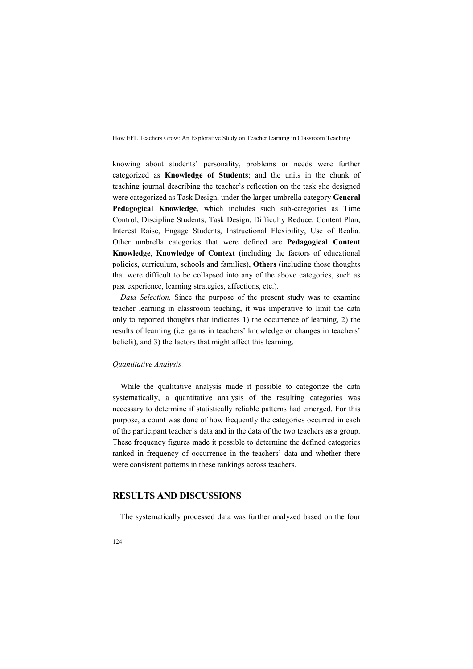knowing about students' personality, problems or needs were further categorized as **Knowledge of Students**; and the units in the chunk of teaching journal describing the teacher's reflection on the task she designed were categorized as Task Design, under the larger umbrella category **General Pedagogical Knowledge**, which includes such sub-categories as Time Control, Discipline Students, Task Design, Difficulty Reduce, Content Plan, Interest Raise, Engage Students, Instructional Flexibility, Use of Realia. Other umbrella categories that were defined are **Pedagogical Content Knowledge**, **Knowledge of Context** (including the factors of educational policies, curriculum, schools and families), **Others** (including those thoughts that were difficult to be collapsed into any of the above categories, such as past experience, learning strategies, affections, etc.).

*Data Selection.* Since the purpose of the present study was to examine teacher learning in classroom teaching, it was imperative to limit the data only to reported thoughts that indicates 1) the occurrence of learning, 2) the results of learning (i.e. gains in teachers' knowledge or changes in teachers' beliefs), and 3) the factors that might affect this learning.

#### *Quantitative Analysis*

While the qualitative analysis made it possible to categorize the data systematically, a quantitative analysis of the resulting categories was necessary to determine if statistically reliable patterns had emerged. For this purpose, a count was done of how frequently the categories occurred in each of the participant teacher's data and in the data of the two teachers as a group. These frequency figures made it possible to determine the defined categories ranked in frequency of occurrence in the teachers' data and whether there were consistent patterns in these rankings across teachers.

# **RESULTS AD DISCUSSIOS**

The systematically processed data was further analyzed based on the four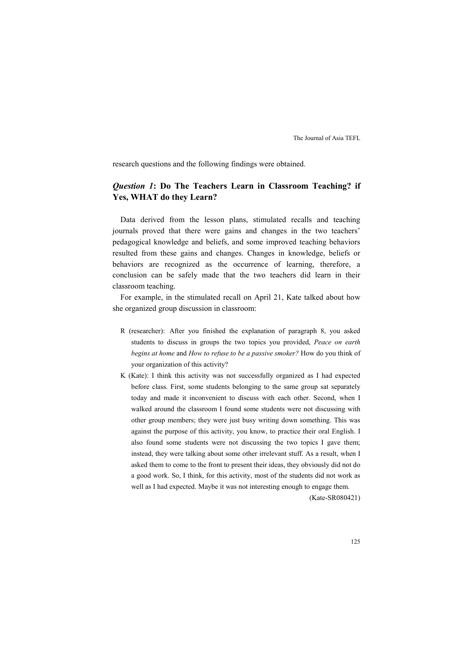research questions and the following findings were obtained.

# *Question 1***: Do The Teachers Learn in Classroom Teaching? if Yes, WHAT do they Learn?**

Data derived from the lesson plans, stimulated recalls and teaching journals proved that there were gains and changes in the two teachers' pedagogical knowledge and beliefs, and some improved teaching behaviors resulted from these gains and changes. Changes in knowledge, beliefs or behaviors are recognized as the occurrence of learning, therefore, a conclusion can be safely made that the two teachers did learn in their classroom teaching.

For example, in the stimulated recall on April 21, Kate talked about how she organized group discussion in classroom:

- R (researcher): After you finished the explanation of paragraph 8, you asked students to discuss in groups the two topics you provided, *Peace on earth begins at home* and *How to refuse to be a passive smoker?* How do you think of your organization of this activity?
- K (Kate): I think this activity was not successfully organized as I had expected before class. First, some students belonging to the same group sat separately today and made it inconvenient to discuss with each other. Second, when I walked around the classroom I found some students were not discussing with other group members; they were just busy writing down something. This was against the purpose of this activity, you know, to practice their oral English. I also found some students were not discussing the two topics I gave them; instead, they were talking about some other irrelevant stuff. As a result, when I asked them to come to the front to present their ideas, they obviously did not do a good work. So, I think, for this activity, most of the students did not work as well as I had expected. Maybe it was not interesting enough to engage them.

(Kate-SR080421)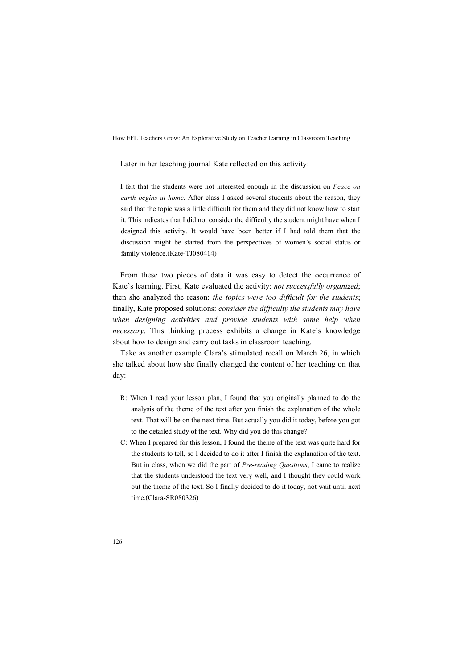Later in her teaching journal Kate reflected on this activity:

I felt that the students were not interested enough in the discussion on *Peace on earth begins at home*. After class I asked several students about the reason, they said that the topic was a little difficult for them and they did not know how to start it. This indicates that I did not consider the difficulty the student might have when I designed this activity. It would have been better if I had told them that the discussion might be started from the perspectives of women's social status or family violence.(Kate-TJ080414)

From these two pieces of data it was easy to detect the occurrence of Kate's learning. First, Kate evaluated the activity: *not successfully organized*; then she analyzed the reason: *the topics were too difficult for the students*; finally, Kate proposed solutions: *consider the difficulty the students may have when designing activities and provide students with some help when necessary*. This thinking process exhibits a change in Kate's knowledge about how to design and carry out tasks in classroom teaching.

Take as another example Clara's stimulated recall on March 26, in which she talked about how she finally changed the content of her teaching on that day:

- R: When I read your lesson plan, I found that you originally planned to do the analysis of the theme of the text after you finish the explanation of the whole text. That will be on the next time. But actually you did it today, before you got to the detailed study of the text. Why did you do this change?
- C: When I prepared for this lesson, I found the theme of the text was quite hard for the students to tell, so I decided to do it after I finish the explanation of the text. But in class, when we did the part of *Pre-reading Questions*, I came to realize that the students understood the text very well, and I thought they could work out the theme of the text. So I finally decided to do it today, not wait until next time.(Clara-SR080326)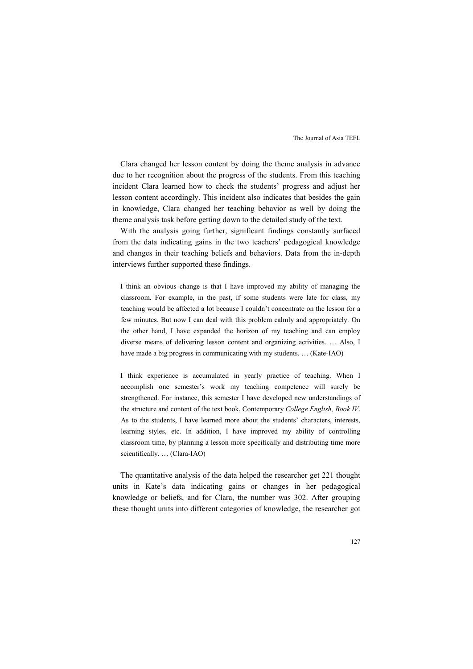Clara changed her lesson content by doing the theme analysis in advance due to her recognition about the progress of the students. From this teaching incident Clara learned how to check the students' progress and adjust her lesson content accordingly. This incident also indicates that besides the gain in knowledge, Clara changed her teaching behavior as well by doing the theme analysis task before getting down to the detailed study of the text.

With the analysis going further, significant findings constantly surfaced from the data indicating gains in the two teachers' pedagogical knowledge and changes in their teaching beliefs and behaviors. Data from the in-depth interviews further supported these findings.

I think an obvious change is that I have improved my ability of managing the classroom. For example, in the past, if some students were late for class, my teaching would be affected a lot because I couldn't concentrate on the lesson for a few minutes. But now I can deal with this problem calmly and appropriately. On the other hand, I have expanded the horizon of my teaching and can employ diverse means of delivering lesson content and organizing activities. … Also, I have made a big progress in communicating with my students. … (Kate-IAO)

I think experience is accumulated in yearly practice of teaching. When I accomplish one semester's work my teaching competence will surely be strengthened. For instance, this semester I have developed new understandings of the structure and content of the text book, Contemporary *College English, Book IV*. As to the students, I have learned more about the students' characters, interests, learning styles, etc. In addition, I have improved my ability of controlling classroom time, by planning a lesson more specifically and distributing time more scientifically. … (Clara-IAO)

The quantitative analysis of the data helped the researcher get 221 thought units in Kate's data indicating gains or changes in her pedagogical knowledge or beliefs, and for Clara, the number was 302. After grouping these thought units into different categories of knowledge, the researcher got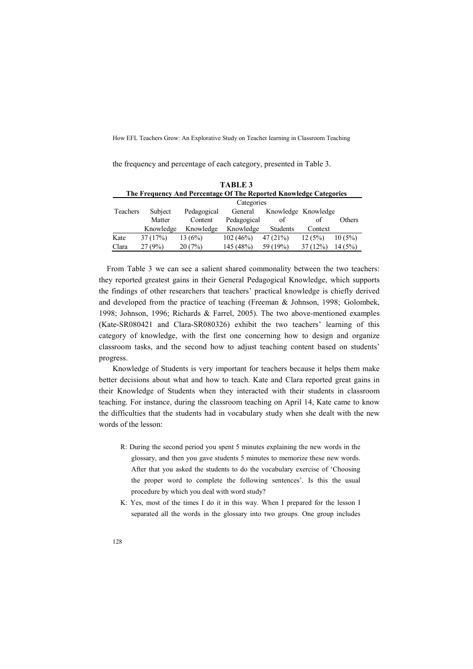the frequency and percentage of each category, presented in Table 3.

| <b>TABLE 3</b><br>The Frequency And Percentage Of The Reported Knowledge Categories |           |             |             |                     |         |        |  |  |  |
|-------------------------------------------------------------------------------------|-----------|-------------|-------------|---------------------|---------|--------|--|--|--|
| Categories                                                                          |           |             |             |                     |         |        |  |  |  |
| Teachers                                                                            | Subject   | Pedagogical | General     | Knowledge Knowledge |         |        |  |  |  |
|                                                                                     | Matter    | Content     | Pedagogical | of                  | of      | Others |  |  |  |
|                                                                                     | Knowledge | Knowledge   | Knowledge   | <b>Students</b>     | Context |        |  |  |  |
| Kate                                                                                | 37(17%)   | 13(6%)      | 102(46%)    | 47(21%)             | 12(5%)  | 10(5%) |  |  |  |
| Clara                                                                               | 27(9%)    | 20(7%)      | 145 (48%)   | 59 (19%)            | 37(12%) | 14(5%) |  |  |  |

From Table 3 we can see a salient shared commonality between the two teachers: they reported greatest gains in their General Pedagogical Knowledge, which supports the findings of other researchers that teachers' practical knowledge is chiefly derived and developed from the practice of teaching (Freeman & Johnson, 1998; Golombek, 1998; Johnson, 1996; Richards & Farrel, 2005). The two above-mentioned examples (Kate-SR080421 and Clara-SR080326) exhibit the two teachers' learning of this category of knowledge, with the first one concerning how to design and organize classroom tasks, and the second how to adjust teaching content based on students' progress.

Knowledge of Students is very important for teachers because it helps them make better decisions about what and how to teach. Kate and Clara reported great gains in their Knowledge of Students when they interacted with their students in classroom teaching. For instance, during the classroom teaching on April 14, Kate came to know the difficulties that the students had in vocabulary study when she dealt with the new words of the lesson:

- R: During the second period you spent 5 minutes explaining the new words in the glossary, and then you gave students 5 minutes to memorize these new words. After that you asked the students to do the vocabulary exercise of 'Choosing the proper word to complete the following sentences'. Is this the usual procedure by which you deal with word study?
- K: Yes, most of the times I do it in this way. When I prepared for the lesson I separated all the words in the glossary into two groups. One group includes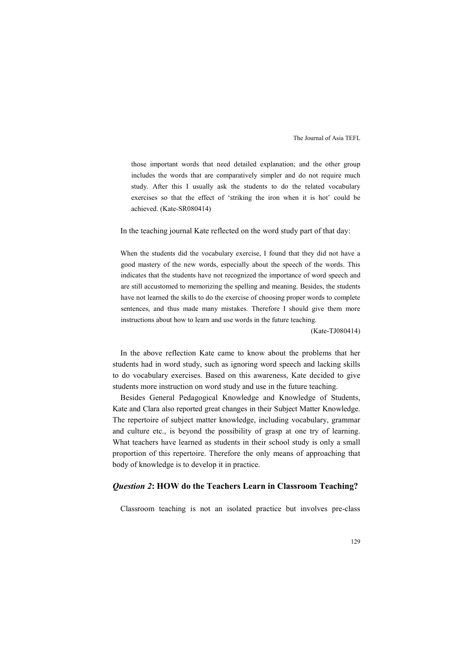those important words that need detailed explanation; and the other group includes the words that are comparatively simpler and do not require much study. After this I usually ask the students to do the related vocabulary exercises so that the effect of 'striking the iron when it is hot' could be achieved. (Kate-SR080414)

In the teaching journal Kate reflected on the word study part of that day:

When the students did the vocabulary exercise, I found that they did not have a good mastery of the new words, especially about the speech of the words. This indicates that the students have not recognized the importance of word speech and are still accustomed to memorizing the spelling and meaning. Besides, the students have not learned the skills to do the exercise of choosing proper words to complete sentences, and thus made many mistakes. Therefore I should give them more instructions about how to learn and use words in the future teaching.

(Kate-TJ080414)

In the above reflection Kate came to know about the problems that her students had in word study, such as ignoring word speech and lacking skills to do vocabulary exercises. Based on this awareness, Kate decided to give students more instruction on word study and use in the future teaching.

Besides General Pedagogical Knowledge and Knowledge of Students, Kate and Clara also reported great changes in their Subject Matter Knowledge. The repertoire of subject matter knowledge, including vocabulary, grammar and culture etc., is beyond the possibility of grasp at one try of learning. What teachers have learned as students in their school study is only a small proportion of this repertoire. Therefore the only means of approaching that body of knowledge is to develop it in practice.

## *Question 2***: HOW do the Teachers Learn in Classroom Teaching?**

Classroom teaching is not an isolated practice but involves pre-class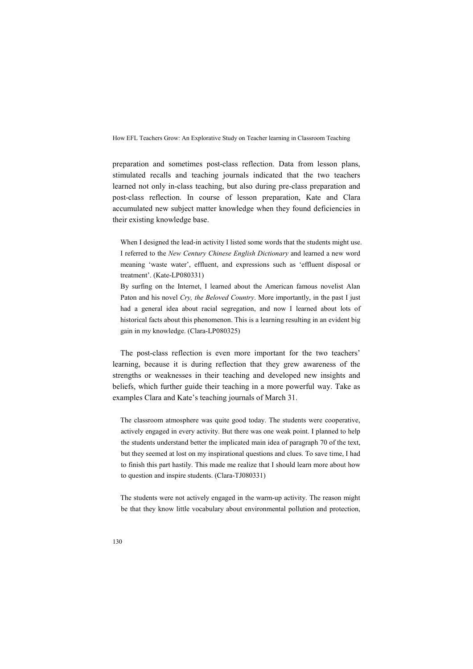preparation and sometimes post-class reflection. Data from lesson plans, stimulated recalls and teaching journals indicated that the two teachers learned not only in-class teaching, but also during pre-class preparation and post-class reflection. In course of lesson preparation, Kate and Clara accumulated new subject matter knowledge when they found deficiencies in their existing knowledge base.

When I designed the lead-in activity I listed some words that the students might use. I referred to the *&ew Century Chinese English Dictionary* and learned a new word meaning 'waste water', effluent, and expressions such as 'effluent disposal or treatment'. (Kate-LP080331)

By surfing on the Internet, I learned about the American famous novelist Alan Paton and his novel *Cry, the Beloved Country*. More importantly, in the past I just had a general idea about racial segregation, and now I learned about lots of historical facts about this phenomenon. This is a learning resulting in an evident big gain in my knowledge. (Clara-LP080325)

The post-class reflection is even more important for the two teachers' learning, because it is during reflection that they grew awareness of the strengths or weaknesses in their teaching and developed new insights and beliefs, which further guide their teaching in a more powerful way. Take as examples Clara and Kate's teaching journals of March 31.

The classroom atmosphere was quite good today. The students were cooperative, actively engaged in every activity. But there was one weak point. I planned to help the students understand better the implicated main idea of paragraph 70 of the text, but they seemed at lost on my inspirational questions and clues. To save time, I had to finish this part hastily. This made me realize that I should learn more about how to question and inspire students. (Clara-TJ080331)

The students were not actively engaged in the warm-up activity. The reason might be that they know little vocabulary about environmental pollution and protection,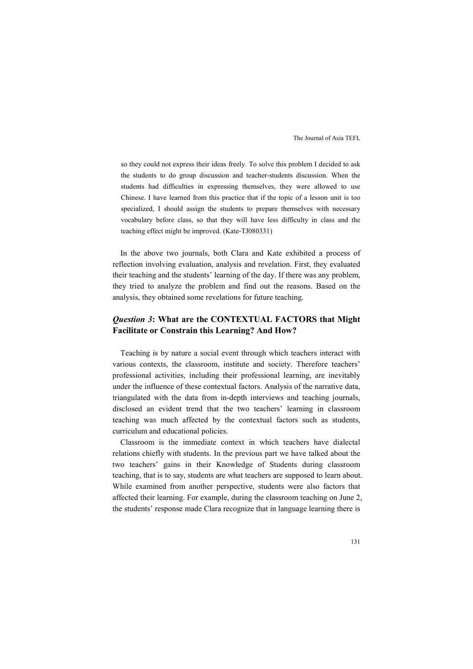so they could not express their ideas freely. To solve this problem I decided to ask the students to do group discussion and teacher-students discussion. When the students had difficulties in expressing themselves, they were allowed to use Chinese. I have learned from this practice that if the topic of a lesson unit is too specialized, I should assign the students to prepare themselves with necessary vocabulary before class, so that they will have less difficulty in class and the teaching effect might be improved. (Kate-TJ080331)

In the above two journals, both Clara and Kate exhibited a process of reflection involving evaluation, analysis and revelation. First, they evaluated their teaching and the students' learning of the day. If there was any problem, they tried to analyze the problem and find out the reasons. Based on the analysis, they obtained some revelations for future teaching.

# *Question 3***: What are the CONTEXTUAL FACTORS that Might Facilitate or Constrain this Learning? And How?**

Teaching is by nature a social event through which teachers interact with various contexts, the classroom, institute and society. Therefore teachers' professional activities, including their professional learning, are inevitably under the influence of these contextual factors. Analysis of the narrative data, triangulated with the data from in-depth interviews and teaching journals, disclosed an evident trend that the two teachers' learning in classroom teaching was much affected by the contextual factors such as students, curriculum and educational policies.

Classroom is the immediate context in which teachers have dialectal relations chiefly with students. In the previous part we have talked about the two teachers' gains in their Knowledge of Students during classroom teaching, that is to say, students are what teachers are supposed to learn about. While examined from another perspective, students were also factors that affected their learning. For example, during the classroom teaching on June 2, the students' response made Clara recognize that in language learning there is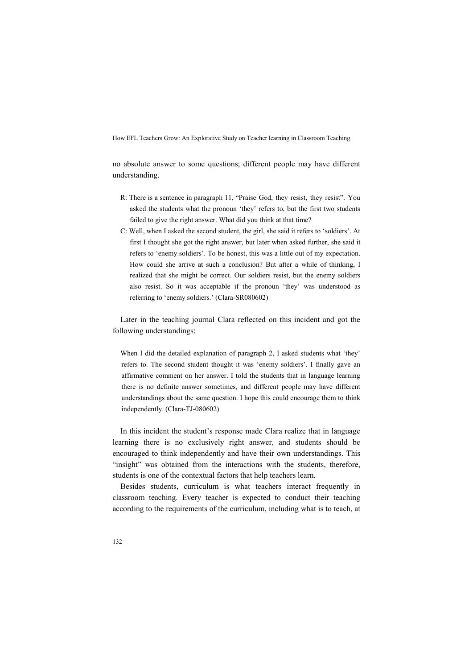no absolute answer to some questions; different people may have different understanding.

- R: There is a sentence in paragraph 11, "Praise God, they resist, they resist". You asked the students what the pronoun 'they' refers to, but the first two students failed to give the right answer. What did you think at that time?
- C: Well, when I asked the second student, the girl, she said it refers to 'soldiers'. At first I thought she got the right answer, but later when asked further, she said it refers to 'enemy soldiers'. To be honest, this was a little out of my expectation. How could she arrive at such a conclusion? But after a while of thinking, I realized that she might be correct. Our soldiers resist, but the enemy soldiers also resist. So it was acceptable if the pronoun 'they' was understood as referring to 'enemy soldiers.' (Clara-SR080602)

Later in the teaching journal Clara reflected on this incident and got the following understandings:

When I did the detailed explanation of paragraph 2, I asked students what 'they' refers to. The second student thought it was 'enemy soldiers'. I finally gave an affirmative comment on her answer. I told the students that in language learning there is no definite answer sometimes, and different people may have different understandings about the same question. I hope this could encourage them to think independently. (Clara-TJ-080602)

In this incident the student's response made Clara realize that in language learning there is no exclusively right answer, and students should be encouraged to think independently and have their own understandings. This "insight" was obtained from the interactions with the students, therefore, students is one of the contextual factors that help teachers learn.

Besides students, curriculum is what teachers interact frequently in classroom teaching. Every teacher is expected to conduct their teaching according to the requirements of the curriculum, including what is to teach, at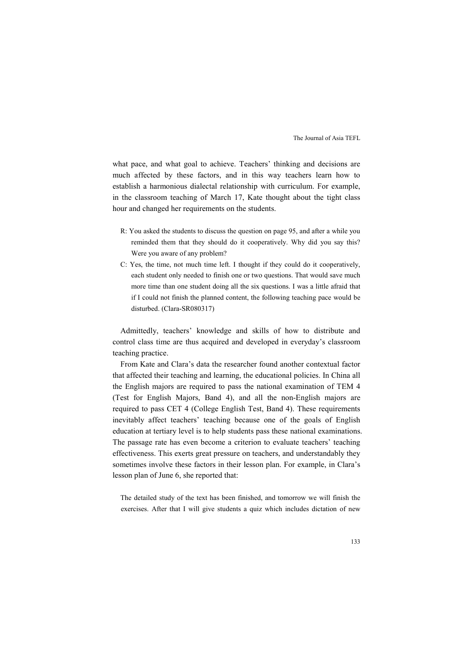what pace, and what goal to achieve. Teachers' thinking and decisions are much affected by these factors, and in this way teachers learn how to establish a harmonious dialectal relationship with curriculum. For example, in the classroom teaching of March 17, Kate thought about the tight class hour and changed her requirements on the students.

- R: You asked the students to discuss the question on page 95, and after a while you reminded them that they should do it cooperatively. Why did you say this? Were you aware of any problem?
- C: Yes, the time, not much time left. I thought if they could do it cooperatively, each student only needed to finish one or two questions. That would save much more time than one student doing all the six questions. I was a little afraid that if I could not finish the planned content, the following teaching pace would be disturbed. (Clara-SR080317)

Admittedly, teachers' knowledge and skills of how to distribute and control class time are thus acquired and developed in everyday's classroom teaching practice.

From Kate and Clara's data the researcher found another contextual factor that affected their teaching and learning, the educational policies. In China all the English majors are required to pass the national examination of TEM 4 (Test for English Majors, Band 4), and all the non-English majors are required to pass CET 4 (College English Test, Band 4). These requirements inevitably affect teachers' teaching because one of the goals of English education at tertiary level is to help students pass these national examinations. The passage rate has even become a criterion to evaluate teachers' teaching effectiveness. This exerts great pressure on teachers, and understandably they sometimes involve these factors in their lesson plan. For example, in Clara's lesson plan of June 6, she reported that:

The detailed study of the text has been finished, and tomorrow we will finish the exercises. After that I will give students a quiz which includes dictation of new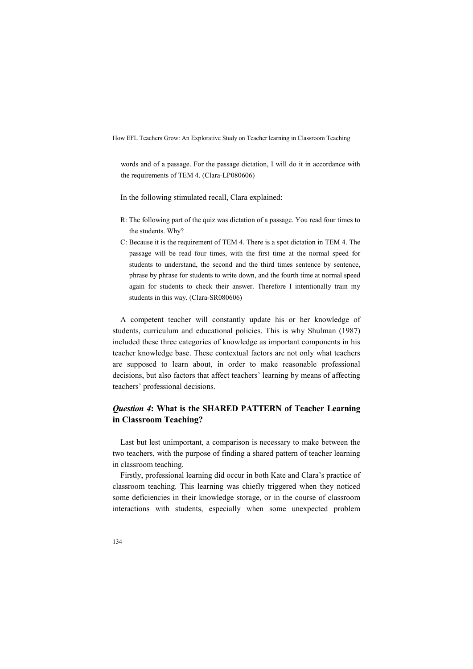words and of a passage. For the passage dictation, I will do it in accordance with the requirements of TEM 4. (Clara-LP080606)

In the following stimulated recall, Clara explained:

- R: The following part of the quiz was dictation of a passage. You read four times to the students. Why?
- C: Because it is the requirement of TEM 4. There is a spot dictation in TEM 4. The passage will be read four times, with the first time at the normal speed for students to understand, the second and the third times sentence by sentence, phrase by phrase for students to write down, and the fourth time at normal speed again for students to check their answer. Therefore I intentionally train my students in this way. (Clara-SR080606)

A competent teacher will constantly update his or her knowledge of students, curriculum and educational policies. This is why Shulman (1987) included these three categories of knowledge as important components in his teacher knowledge base. These contextual factors are not only what teachers are supposed to learn about, in order to make reasonable professional decisions, but also factors that affect teachers' learning by means of affecting teachers' professional decisions.

# *Question 4***: What is the SHARED PATTERN of Teacher Learning in Classroom Teaching?**

Last but lest unimportant, a comparison is necessary to make between the two teachers, with the purpose of finding a shared pattern of teacher learning in classroom teaching.

Firstly, professional learning did occur in both Kate and Clara's practice of classroom teaching. This learning was chiefly triggered when they noticed some deficiencies in their knowledge storage, or in the course of classroom interactions with students, especially when some unexpected problem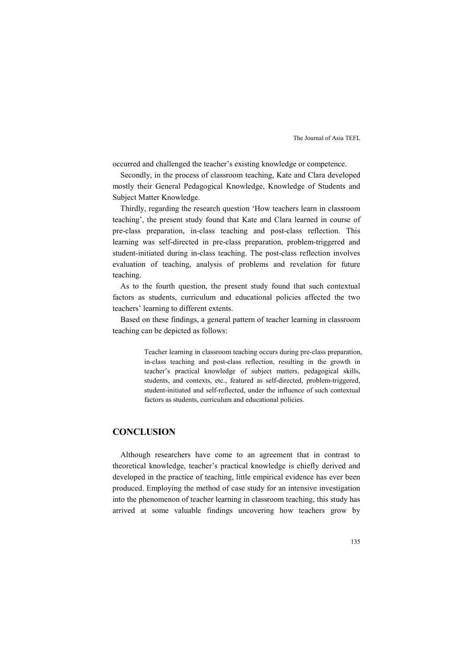occurred and challenged the teacher's existing knowledge or competence.

Secondly, in the process of classroom teaching, Kate and Clara developed mostly their General Pedagogical Knowledge, Knowledge of Students and Subject Matter Knowledge.

Thirdly, regarding the research question 'How teachers learn in classroom teaching', the present study found that Kate and Clara learned in course of pre-class preparation, in-class teaching and post-class reflection. This learning was self-directed in pre-class preparation, problem-triggered and student-initiated during in-class teaching. The post-class reflection involves evaluation of teaching, analysis of problems and revelation for future teaching.

As to the fourth question, the present study found that such contextual factors as students, curriculum and educational policies affected the two teachers' learning to different extents.

Based on these findings, a general pattern of teacher learning in classroom teaching can be depicted as follows:

> Teacher learning in classroom teaching occurs during pre-class preparation, in-class teaching and post-class reflection, resulting in the growth in teacher's practical knowledge of subject matters, pedagogical skills, students, and contexts, etc., featured as self-directed, problem-triggered, student-initiated and self-reflected, under the influence of such contextual factors as students, curriculum and educational policies.

# **CONCLUSION**

Although researchers have come to an agreement that in contrast to theoretical knowledge, teacher's practical knowledge is chiefly derived and developed in the practice of teaching, little empirical evidence has ever been produced. Employing the method of case study for an intensive investigation into the phenomenon of teacher learning in classroom teaching, this study has arrived at some valuable findings uncovering how teachers grow by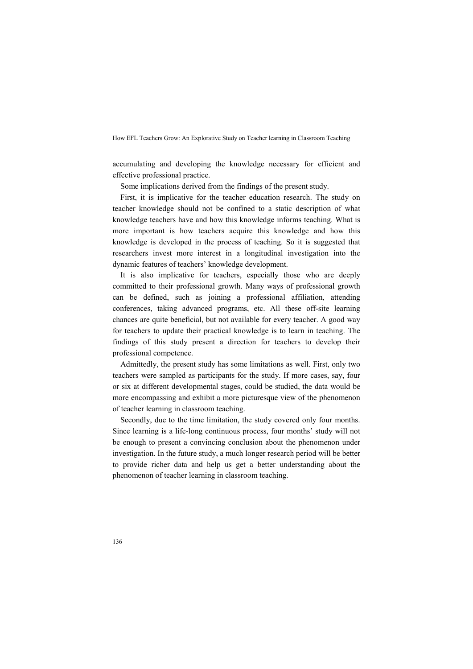accumulating and developing the knowledge necessary for efficient and effective professional practice.

Some implications derived from the findings of the present study.

First, it is implicative for the teacher education research. The study on teacher knowledge should not be confined to a static description of what knowledge teachers have and how this knowledge informs teaching. What is more important is how teachers acquire this knowledge and how this knowledge is developed in the process of teaching. So it is suggested that researchers invest more interest in a longitudinal investigation into the dynamic features of teachers' knowledge development.

It is also implicative for teachers, especially those who are deeply committed to their professional growth. Many ways of professional growth can be defined, such as joining a professional affiliation, attending conferences, taking advanced programs, etc. All these off-site learning chances are quite beneficial, but not available for every teacher. A good way for teachers to update their practical knowledge is to learn in teaching. The findings of this study present a direction for teachers to develop their professional competence.

Admittedly, the present study has some limitations as well. First, only two teachers were sampled as participants for the study. If more cases, say, four or six at different developmental stages, could be studied, the data would be more encompassing and exhibit a more picturesque view of the phenomenon of teacher learning in classroom teaching.

Secondly, due to the time limitation, the study covered only four months. Since learning is a life-long continuous process, four months' study will not be enough to present a convincing conclusion about the phenomenon under investigation. In the future study, a much longer research period will be better to provide richer data and help us get a better understanding about the phenomenon of teacher learning in classroom teaching.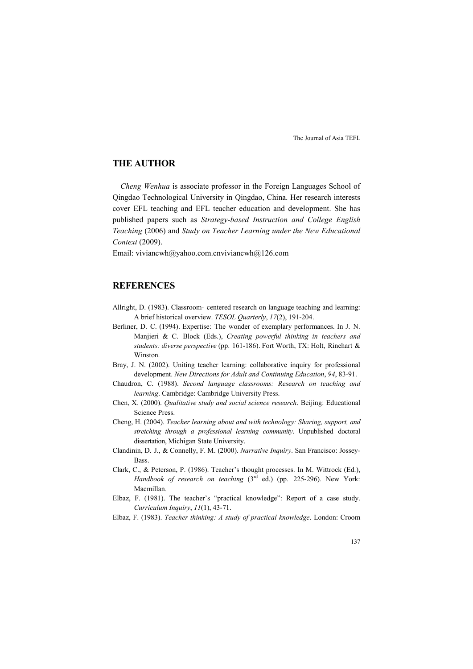# **THE AUTHOR**

*Cheng Wenhua* is associate professor in the Foreign Languages School of Qingdao Technological University in Qingdao, China. Her research interests cover EFL teaching and EFL teacher education and development. She has published papers such as *Strategy-based Instruction and College English Teaching* (2006) and *Study on Teacher Learning under the New Educational Context* (2009).

Email: viviancwh@yahoo.com.cnviviancwh@126.com

# **REFERENCES**

- Allright, D. (1983). Classroom- centered research on language teaching and learning: A brief historical overview. *TESOL Quarterly*, *17*(2), 191-204.
- Berliner, D. C. (1994). Expertise: The wonder of exemplary performances. In J. N. Manjieri & C. Block (Eds.), *Creating powerful thinking in teachers and students: diverse perspective* (pp. 161-186). Fort Worth, TX: Holt, Rinehart & Winston.
- Bray, J. N. (2002). Uniting teacher learning: collaborative inquiry for professional development. *&ew Directions for Adult and Continuing Education*, *94*, 83-91.
- Chaudron, C. (1988). *Second language classrooms: Research on teaching and learning*. Cambridge: Cambridge University Press.
- Chen, X. (2000). *Qualitative study and social science research*. Beijing: Educational Science Press.
- Cheng, H. (2004). *Teacher learning about and with technology: Sharing, support, and stretching through a professional learning community*. Unpublished doctoral dissertation, Michigan State University.
- Clandinin, D. J., & Connelly, F. M. (2000). *Narrative Inquiry*. San Francisco: Jossey-Bass.
- Clark, C., & Peterson, P. (1986). Teacher's thought processes. In M. Wittrock (Ed.), *Handbook of research on teaching* (3<sup>rd</sup> ed.) (pp. 225-296). New York: Macmillan.
- Elbaz, F. (1981). The teacher's "practical knowledge": Report of a case study. *Curriculum Inquiry*, *11*(1), 43-71.
- Elbaz, F. (1983). *Teacher thinking: A study of practical knowledge*. London: Croom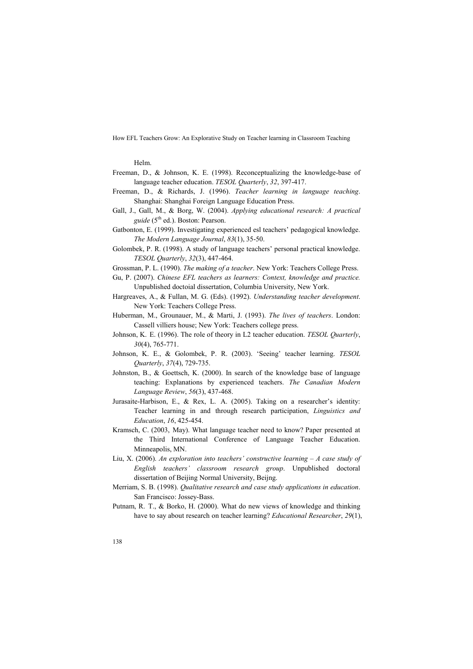Helm.

- Freeman, D., & Johnson, K. E. (1998). Reconceptualizing the knowledge-base of language teacher education. *TESOL Quarterly*, *32*, 397-417.
- Freeman, D., & Richards, J. (1996). *Teacher learning in language teaching*. Shanghai: Shanghai Foreign Language Education Press.
- Gall, J., Gall, M., & Borg, W. (2004). *Applying educational research: A practical guide* (5<sup>th</sup> ed.). Boston: Pearson.
- Gatbonton, E. (1999). Investigating experienced esl teachers' pedagogical knowledge. *The Modern Language Journal*, *83*(1), 35-50.
- Golombek, P. R. (1998). A study of language teachers' personal practical knowledge. *TESOL Quarterly*, *32*(3), 447-464.

Grossman, P. L. (1990). *The making of a teacher*. New York: Teachers College Press.

- Gu, P. (2007). *Chinese EFL teachers as learners: Context, knowledge and practice.*  Unpublished doctoial dissertation, Columbia University, New York.
- Hargreaves, A., & Fullan, M. G. (Eds). (1992). *Understanding teacher development*. New York: Teachers College Press.
- Huberman, M., Grounauer, M., & Marti, J. (1993). *The lives of teachers*. London: Cassell villiers house; New York: Teachers college press.
- Johnson, K. E. (1996). The role of theory in L2 teacher education. *TESOL Quarterly*, *30*(4), 765-771.
- Johnson, K. E., & Golombek, P. R. (2003). 'Seeing' teacher learning. *TESOL Quarterly*, *37*(4), 729-735.
- Johnston, B., & Goettsch, K. (2000). In search of the knowledge base of language teaching: Explanations by experienced teachers. *The Canadian Modern Language Review*, *56*(3), 437-468.
- Jurasaite-Harbison, E., & Rex, L. A. (2005). Taking on a researcher's identity: Teacher learning in and through research participation, *Linguistics and Education*, *16*, 425-454.
- Kramsch, C. (2003, May). What language teacher need to know? Paper presented at the Third International Conference of Language Teacher Education. Minneapolis, MN.
- Liu, X. (2006). *An exploration into teachers' constructive learning A case study of English teachers' classroom research group*. Unpublished doctoral dissertation of Beijing Normal University, Beijng.
- Merriam, S. B. (1998). *Qualitative research and case study applications in education*. San Francisco: Jossey-Bass.
- Putnam, R. T., & Borko, H. (2000). What do new views of knowledge and thinking have to say about research on teacher learning? *Educational Researcher*, *29*(1),